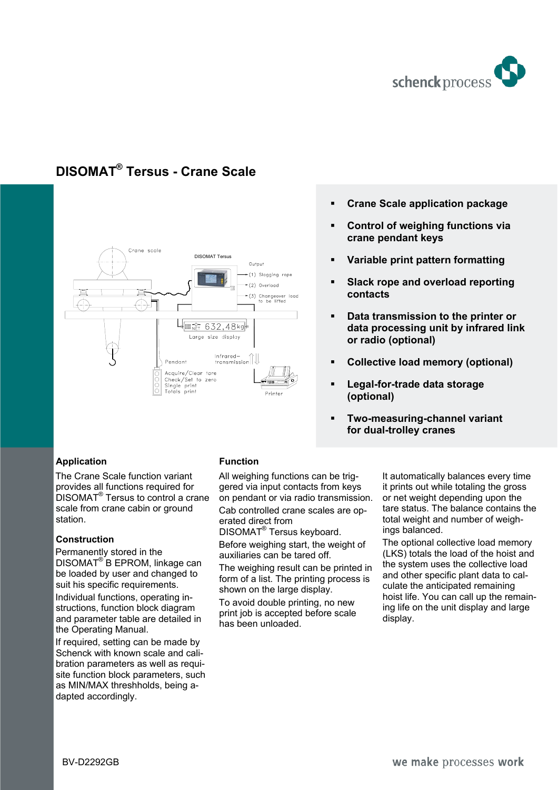

## **DISOMAT® Tersus - Crane Scale**



- **Crane Scale application package**
- **Control of weighing functions via crane pendant keys**
- **Variable print pattern formatting**
- **Slack rope and overload reporting contacts**
- **Data transmission to the printer or data processing unit by infrared link or radio (optional)**
- **Collective load memory (optional)**
- **Legal-for-trade data storage (optional)**
- **Two-measuring-channel variant for dual-trolley cranes**

## **Application**

The Crane Scale function variant provides all functions required for DISOMAT® Tersus to control a crane scale from crane cabin or ground station.

## **Construction**

Permanently stored in the DISOMAT<sup>®</sup>B EPROM, linkage can be loaded by user and changed to suit his specific requirements. Individual functions, operating instructions, function block diagram and parameter table are detailed in

the Operating Manual. If required, setting can be made by Schenck with known scale and calibration parameters as well as requisite function block parameters, such as MIN/MAX threshholds, being adapted accordingly.

## **Function**

All weighing functions can be triggered via input contacts from keys on pendant or via radio transmission. Cab controlled crane scales are operated direct from

DISOMAT<sup>®</sup> Tersus keyboard.

Before weighing start, the weight of auxiliaries can be tared off.

The weighing result can be printed in form of a list. The printing process is shown on the large display.

To avoid double printing, no new print job is accepted before scale has been unloaded.

It automatically balances every time it prints out while totaling the gross or net weight depending upon the tare status. The balance contains the total weight and number of weighings balanced.

The optional collective load memory (LKS) totals the load of the hoist and the system uses the collective load and other specific plant data to calculate the anticipated remaining hoist life. You can call up the remaining life on the unit display and large display.